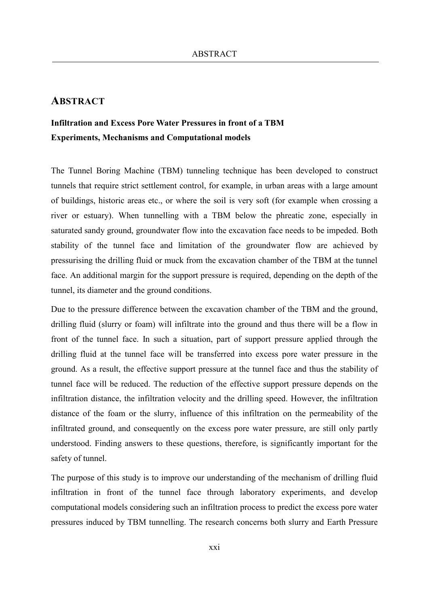## **ABSTRACT**

## **Infiltration and Excess Pore Water Pressures in front of a TBM Experiments, Mechanisms and Computational models**

The Tunnel Boring Machine (TBM) tunneling technique has been developed to construct tunnels that require strict settlement control, for example, in urban areas with a large amount of buildings, historic areas etc., or where the soil is very soft (for example when crossing a river or estuary). When tunnelling with a TBM below the phreatic zone, especially in saturated sandy ground, groundwater flow into the excavation face needs to be impeded. Both stability of the tunnel face and limitation of the groundwater flow are achieved by pressurising the drilling fluid or muck from the excavation chamber of the TBM at the tunnel face. An additional margin for the support pressure is required, depending on the depth of the tunnel, its diameter and the ground conditions.

Due to the pressure difference between the excavation chamber of the TBM and the ground, drilling fluid (slurry or foam) will infiltrate into the ground and thus there will be a flow in front of the tunnel face. In such a situation, part of support pressure applied through the drilling fluid at the tunnel face will be transferred into excess pore water pressure in the ground. As a result, the effective support pressure at the tunnel face and thus the stability of tunnel face will be reduced. The reduction of the effective support pressure depends on the infiltration distance, the infiltration velocity and the drilling speed. However, the infiltration distance of the foam or the slurry, influence of this infiltration on the permeability of the infiltrated ground, and consequently on the excess pore water pressure, are still only partly understood. Finding answers to these questions, therefore, is significantly important for the safety of tunnel.

The purpose of this study is to improve our understanding of the mechanism of drilling fluid infiltration in front of the tunnel face through laboratory experiments, and develop computational models considering such an infiltration process to predict the excess pore water pressures induced by TBM tunnelling. The research concerns both slurry and Earth Pressure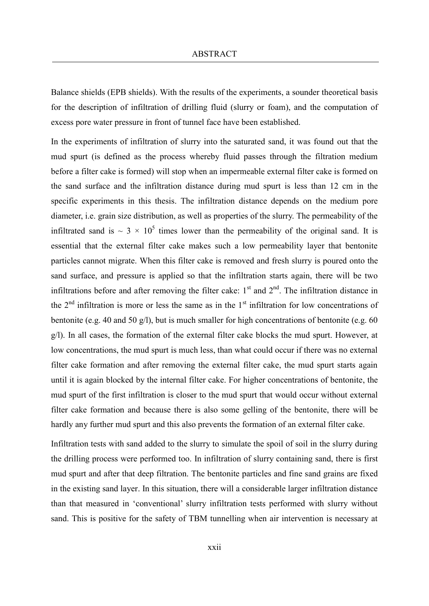Balance shields (EPB shields). With the results of the experiments, a sounder theoretical basis for the description of infiltration of drilling fluid (slurry or foam), and the computation of excess pore water pressure in front of tunnel face have been established.

In the experiments of infiltration of slurry into the saturated sand, it was found out that the mud spurt (is defined as the process whereby fluid passes through the filtration medium before a filter cake is formed) will stop when an impermeable external filter cake is formed on the sand surface and the infiltration distance during mud spurt is less than 12 cm in the specific experiments in this thesis. The infiltration distance depends on the medium pore diameter, i.e. grain size distribution, as well as properties of the slurry. The permeability of the infiltrated sand is  $\sim 3 \times 10^5$  times lower than the permeability of the original sand. It is essential that the external filter cake makes such a low permeability layer that bentonite particles cannot migrate. When this filter cake is removed and fresh slurry is poured onto the sand surface, and pressure is applied so that the infiltration starts again, there will be two infiltrations before and after removing the filter cake:  $1<sup>st</sup>$  and  $2<sup>nd</sup>$ . The infiltration distance in the  $2<sup>nd</sup>$  infiltration is more or less the same as in the  $1<sup>st</sup>$  infiltration for low concentrations of bentonite (e.g. 40 and 50 g/l), but is much smaller for high concentrations of bentonite (e.g. 60 g/l). In all cases, the formation of the external filter cake blocks the mud spurt. However, at low concentrations, the mud spurt is much less, than what could occur if there was no external filter cake formation and after removing the external filter cake, the mud spurt starts again until it is again blocked by the internal filter cake. For higher concentrations of bentonite, the mud spurt of the first infiltration is closer to the mud spurt that would occur without external filter cake formation and because there is also some gelling of the bentonite, there will be hardly any further mud spurt and this also prevents the formation of an external filter cake.

Infiltration tests with sand added to the slurry to simulate the spoil of soil in the slurry during the drilling process were performed too. In infiltration of slurry containing sand, there is first mud spurt and after that deep filtration. The bentonite particles and fine sand grains are fixed in the existing sand layer. In this situation, there will a considerable larger infiltration distance than that measured in 'conventional' slurry infiltration tests performed with slurry without sand. This is positive for the safety of TBM tunnelling when air intervention is necessary at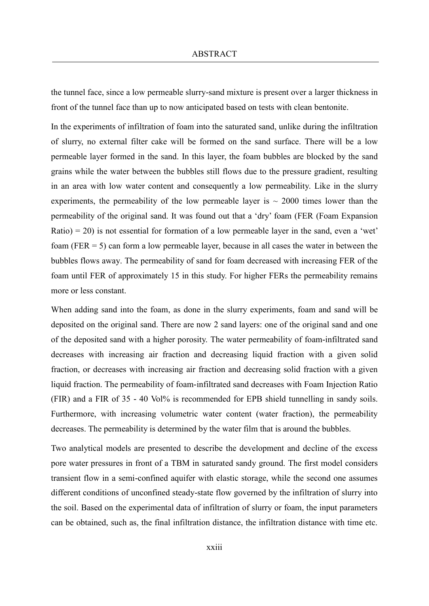the tunnel face, since a low permeable slurry-sand mixture is present over a larger thickness in front of the tunnel face than up to now anticipated based on tests with clean bentonite.

In the experiments of infiltration of foam into the saturated sand, unlike during the infiltration of slurry, no external filter cake will be formed on the sand surface. There will be a low permeable layer formed in the sand. In this layer, the foam bubbles are blocked by the sand grains while the water between the bubbles still flows due to the pressure gradient, resulting in an area with low water content and consequently a low permeability. Like in the slurry experiments, the permeability of the low permeable layer is  $\sim 2000$  times lower than the permeability of the original sand. It was found out that a 'dry' foam (FER (Foam Expansion  $Ratio$ ) = 20) is not essential for formation of a low permeable layer in the sand, even a 'wet' foam (FER = 5) can form a low permeable layer, because in all cases the water in between the bubbles flows away. The permeability of sand for foam decreased with increasing FER of the foam until FER of approximately 15 in this study. For higher FERs the permeability remains more or less constant.

When adding sand into the foam, as done in the slurry experiments, foam and sand will be deposited on the original sand. There are now 2 sand layers: one of the original sand and one of the deposited sand with a higher porosity. The water permeability of foam-infiltrated sand decreases with increasing air fraction and decreasing liquid fraction with a given solid fraction, or decreases with increasing air fraction and decreasing solid fraction with a given liquid fraction. The permeability of foam-infiltrated sand decreases with Foam Injection Ratio (FIR) and a FIR of 35 - 40 Vol% is recommended for EPB shield tunnelling in sandy soils. Furthermore, with increasing volumetric water content (water fraction), the permeability decreases. The permeability is determined by the water film that is around the bubbles.

Two analytical models are presented to describe the development and decline of the excess pore water pressures in front of a TBM in saturated sandy ground. The first model considers transient flow in a semi-confined aquifer with elastic storage, while the second one assumes different conditions of unconfined steady-state flow governed by the infiltration of slurry into the soil. Based on the experimental data of infiltration of slurry or foam, the input parameters can be obtained, such as, the final infiltration distance, the infiltration distance with time etc.